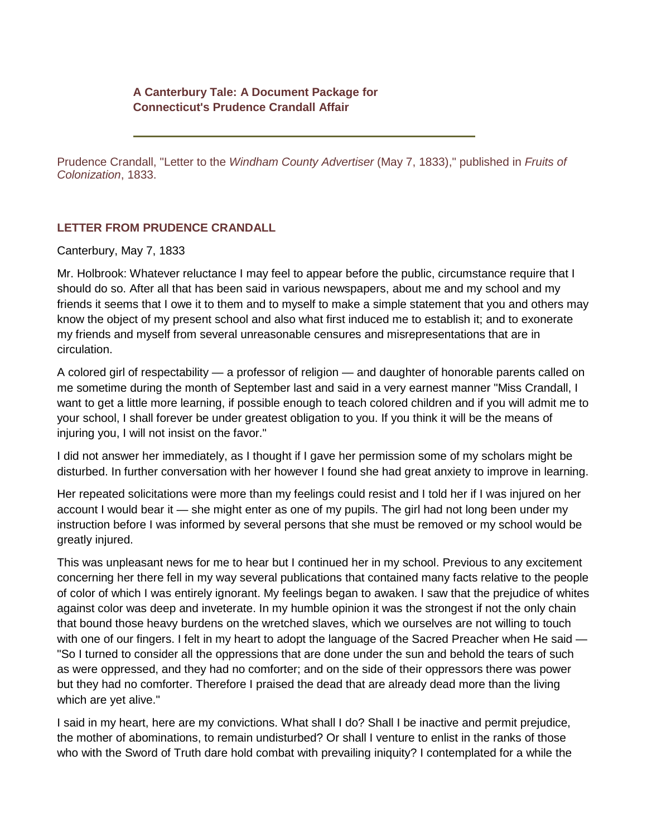## **A Canterbury Tale: A Document Package for Connecticut's Prudence Crandall Affair**

Prudence Crandall, "Letter to the *Windham County Advertiser* (May 7, 1833)," published in *Fruits of Colonization*, 1833.

## **LETTER FROM PRUDENCE CRANDALL**

Canterbury, May 7, 1833

Mr. Holbrook: Whatever reluctance I may feel to appear before the public, circumstance require that I should do so. After all that has been said in various newspapers, about me and my school and my friends it seems that I owe it to them and to myself to make a simple statement that you and others may know the object of my present school and also what first induced me to establish it; and to exonerate my friends and myself from several unreasonable censures and misrepresentations that are in circulation.

A colored girl of respectability — a professor of religion — and daughter of honorable parents called on me sometime during the month of September last and said in a very earnest manner "Miss Crandall, I want to get a little more learning, if possible enough to teach colored children and if you will admit me to your school, I shall forever be under greatest obligation to you. If you think it will be the means of injuring you, I will not insist on the favor."

I did not answer her immediately, as I thought if I gave her permission some of my scholars might be disturbed. In further conversation with her however I found she had great anxiety to improve in learning.

Her repeated solicitations were more than my feelings could resist and I told her if I was injured on her account I would bear it — she might enter as one of my pupils. The girl had not long been under my instruction before I was informed by several persons that she must be removed or my school would be greatly injured.

This was unpleasant news for me to hear but I continued her in my school. Previous to any excitement concerning her there fell in my way several publications that contained many facts relative to the people of color of which I was entirely ignorant. My feelings began to awaken. I saw that the prejudice of whites against color was deep and inveterate. In my humble opinion it was the strongest if not the only chain that bound those heavy burdens on the wretched slaves, which we ourselves are not willing to touch with one of our fingers. I felt in my heart to adopt the language of the Sacred Preacher when He said — "So I turned to consider all the oppressions that are done under the sun and behold the tears of such as were oppressed, and they had no comforter; and on the side of their oppressors there was power but they had no comforter. Therefore I praised the dead that are already dead more than the living which are yet alive."

I said in my heart, here are my convictions. What shall I do? Shall I be inactive and permit prejudice, the mother of abominations, to remain undisturbed? Or shall I venture to enlist in the ranks of those who with the Sword of Truth dare hold combat with prevailing iniquity? I contemplated for a while the